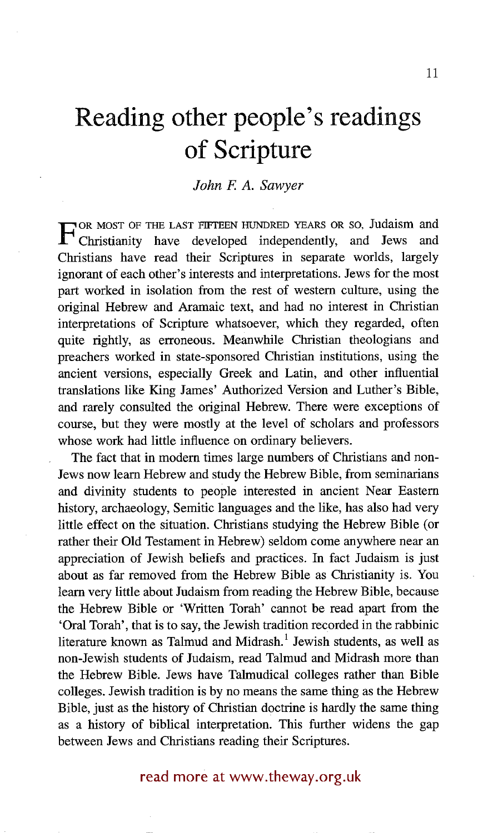# Reading other people's readings **of Scripture**

#### *John F. A. Sawyer*

**F** OR MOST OF THE LAST FIFTEEN HUNDRED YEARS OR SO, Judaism and Christianity have developed independently, and Jews Christians have read their Scriptures in separate worlds, largely ignorant of each other's interests and interpretations. Jews for the most part worked in isolation from the rest of western culture, using the original Hebrew and Aramaic text, and had no interest in Christian interpretations of Scripture whatsoever, which they regarded, often quite rightly, as erroneous. Meanwhile Christian theologians and preachers worked in state-sponsored Christian institutions, using the ancient versions, especially Greek and Latin, and other influential translations like King James' Authorized Version and Luther's Bible, and rarely consulted the original Hebrew. There were exceptions of course, but they were mostly at the level of scholars and professors whose work had little influence on ordinary believers.

The fact that in modern times large numbers of Christians and non-Jews now learn Hebrew and study the Hebrew Bible, from seminarians and divinity students to people interested in ancient Near Eastern history, archaeology, Semitic languages and the like, has also had very little effect on the situation. Christians studying the Hebrew Bible (or rather their Old Testament in Hebrew) seldom come anywhere near an appreciation of Jewish beliefs and practices. In fact Judaism is just about as far removed from the Hebrew Bible as Christianity is. You learn very little about Judaism from reading the Hebrew Bible, because the Hebrew Bible or 'Written Torah' cannot be read apart from the 'Oral Torah', that is to say, the Jewish tradition recorded in the rabbinic literature known as Talmud and Midrash.<sup>1</sup> Jewish students, as well as non-Jewish students of Judaism, read Talmud and Midrash more than the Hebrew Bible. Jews have Talmudical colleges rather than Bible colleges. Jewish tradition is by no means the same thing as the Hebrew Bible, just as the history of Christian doctrine is hardly the same thing as a history of biblical interpretation. This further widens the gap between Jews and Christians reading their Scriptures.

### read more at www.theway.org.uk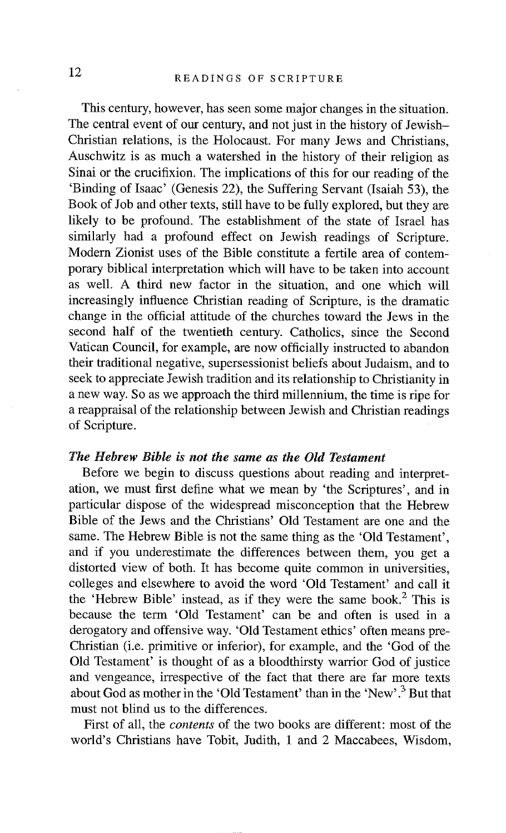This century, however, has seen some major changes in the situation. The central event of our century, and not just in the history of Jewish-Christian relations, is the Holocaust. For many Jews and Christians, Auschwitz is as much a watershed in the history of their religion as Sinai or the crucifixion. The implications of this for our reading of the 'Binding of Isaac' (Genesis 22), the Suffering Servant (Isaiah 53), the Book of Job and other texts, still have to be fully explored, but they are likely to be profound. The establishment of the state of Israel has similarly had a profound effect on Jewish readings of Scripture. Modern Zionist uses of the Bible constitute a fertile area of contemporary biblical interpretation which will have to be taken into account as well. A third new factor in the situation, and one which will increasingly influence Christian reading of Scripture, is the dramatic change in the official attitude of the churches toward the Jews in the second half of the twentieth century. Catholics, since the Second Vatican Council, for example, are now officially instructed to abandon their traditional negative, supersessionist beliefs about Judaism, and to seek to appreciate Jewish tradition and its relationship to Christianity in a new way. So as we approach the third millennium, the time is ripe for a reappraisal of the relationship between Jewish and Christian readings of Scripture.

#### *The Hebrew Bible is not the same as the Old Testament*

Before we begin to discuss questions about reading and interpretation, we must first define what we mean by 'the Scriptures', and in particular dispose of the widespread misconception that the Hebrew Bible of the Jews and the Christians' Old Testament are one and the same. The Hebrew Bible is not the same thing as the 'Old Testament', and if you underestimate the differences between them, you get a distorted view of both. It has become quite common in universities, colleges and elsewhere to avoid the word 'Old Testament' and call it the 'Hebrew Bible' instead, as if they were the same book.<sup>2</sup> This is because the term 'Old Testament' can be and often is used in a derogatory and offensive way. 'Old Testament ethics' often means pre-Christian (i.e. primitive or inferior), for example, and the 'God of the Old Testament' is thought of as a bloodthirsty warrior God of justice and vengeance, irrespective of the fact that there are far more texts about God as mother in the 'Old Testament' than in the 'New'.<sup>3</sup> But that must not blind us to the differences.

First of all, the *contents* of the two books are different: most of the world's Christians have Tobit, Judith, 1 and 2 Maccabees, Wisdom,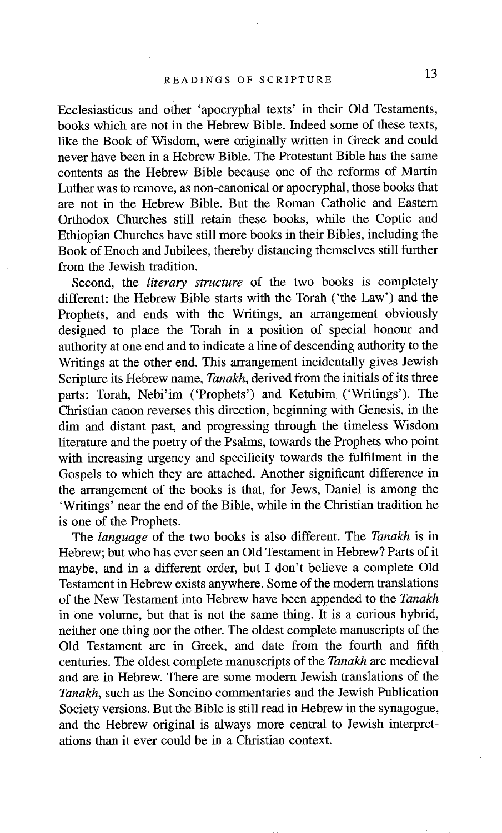Ecclesiasticus and other 'apocryphal texts' in their Old Testaments, books which are not in the Hebrew Bible. Indeed some of these texts, like the Book of Wisdom, were originally written in Greek and could never have been in a Hebrew Bible. The Protestant Bible has the same contents as the Hebrew Bible because one of the reforms of Martin Luther was to remove, as non-canonical or apocryphal, those books that are not in the Hebrew Bible. But the Roman Catholic and Eastern Orthodox Churches still retain these books, while the Coptic and Ethiopian Churches have still more books in their Bibles, including the Book of Enoch and Jubilees, thereby distancing themselves still further from the Jewish tradition.

Second, the *literary structure* of the two books is completely different: the Hebrew Bible starts with the Torah ('the Law') and the Prophets, and ends with the Writings, an arrangement obviously designed to place the Torah in a position of special honour and authority at one end and to indicate a line of descending authority to the Writings at the other end. This arrangement incidentally gives Jewish Scripture its Hebrew name, *Tanakh,* derived from the initials of its three parts: Torah, Nebi'im ('Prophets') and Ketubim ('Writings'). The Christian canon reverses this direction, beginning with Genesis, in the dim and distant past, and progressing through the timeless Wisdom literature and the poetry of the Psalms, towards the Prophets who point with increasing urgency and specificity towards the fulfilment in the Gospels to which they are attached. Another significant difference in the arrangement of the books is that, for Jews, Daniel is among the 'Writings' near the end of the Bible, while in the Christian tradition he is one of the Prophets.

*The language* of the two books is also different. The *Tanakh* is in Hebrew; but who has ever seen an Old Testament in Hebrew? Parts of it maybe, and in a different order, but I don't believe a complete Old Testament in Hebrew exists anywhere. Some of the modem translations of the New Testament into Hebrew have been appended to the *Tanakh*  in one volume, but that is not the same thing. It is a curious hybrid, neither one thing nor the other. The oldest complete manuscripts of the Old Testament are in Greek, and date from the fourth and fifth centuries. The oldest complete manuscripts of the *Tanakh are* medieval and are in Hebrew. There are some modem Jewish translations of the *Tanakh,* such as the Soncino commentaries and the Jewish Publication Society versions. But the Bible is still read in Hebrew in the synagogue, and the Hebrew original is always more central to Jewish interpretations than it ever could be in a Christian context.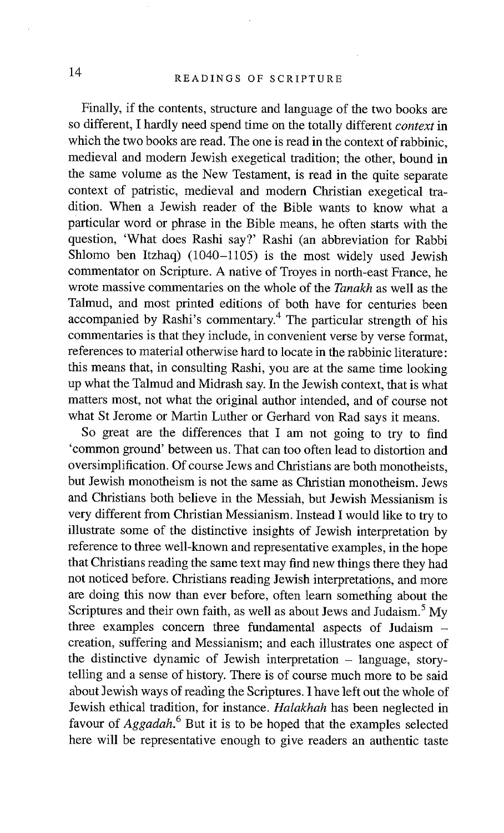Finally, if the contents, structure and language of the two books are so different, I hardly need spend time on the totally different *context* in which the two books are read. The one is read in the context of rabbinic, medieval and modem Jewish exegetical tradition; the other, bound in the same volume as the New Testament, is read in the quite separate context of patristic, medieval and modern Christian exegetical tradition. When a Jewish reader of the Bible wants to know what a particular word or phrase in the Bible means, he often starts with the question, 'What does Rashi say?' Rashi (an abbreviation for Rabbi Shlomo ben Itzhaq) (1040-1105) is the most widely used Jewish commentator on Scripture. A native of Troyes in north-east France, he wrote massive commentaries on the whole of the *Tanakh* as well as the Talmud, and most printed editions of both have for centuries been accompanied by Rashi's commentary.<sup>4</sup> The particular strength of his commentaries is that they include, in convenient verse by verse format, references to material otherwise hard to locate in the rabbinic literature: this means that, in consulting Rashi, you are at the same time looking up what the Talmud and Midrash say. In the Jewish context, that is what matters most, not what the original author intended, and of course not what St Jerome or Martin Luther or Gerhard von Rad says it means.

So great are the differences that I am not going to try to find 'common ground' between us. That can too often lead to distortion and oversimplification. Of course Jews and Christians are both monotheists, but Jewish monotheism is not the same as Christian monotheism. Jews and Christians both believe in the Messiah, but Jewish Messianism is very different from Christian Messianism. Instead I would like to try to illustrate some of the distinctive insights of Jewish interpretation by reference to three well-known and representative examples, in the hope that Christians reading the same text may find new things there they had not noticed before. Christians reading Jewish interpretations, and more are doing this now than ever before, often learn something about the Scriptures and their own faith, as well as about Jews and Judaism.<sup>5</sup> My three examples concern three fundamental aspects of Judaism creation, suffering and Messianism; and each illustrates one aspect of the distinctive dynamic of Jewish interpretation - language, storytelling and a sense of history. There is of course much more to be said about Jewish ways of reading the Scriptures. I have left out the whole of Jewish ethical tradition, for instance. *Halakhah* has been neglected in favour of *Aggadah. 6* But it is to be hoped that the examples selected here will be representative enough to give readers an authentic taste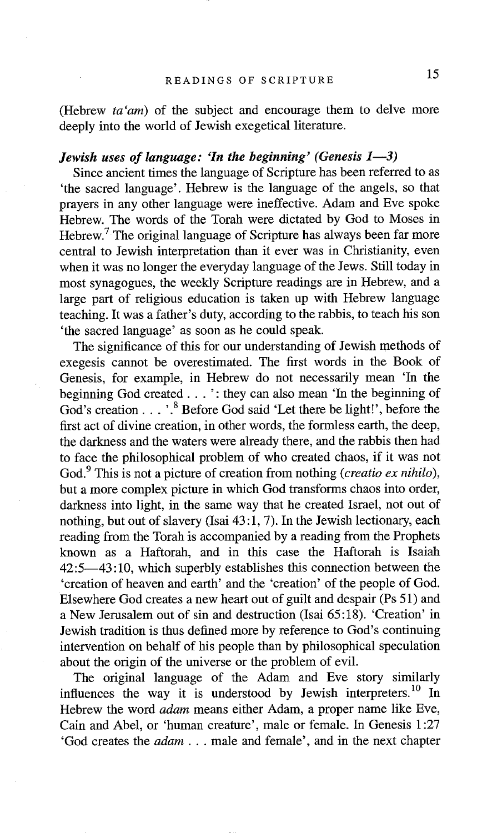(Hebrew *ta'am)* of the subject and encourage them to delve more deeply into the world of Jewish exegetical literature.

#### *Jewish uses of language: 'In the beginning' (Genesis 1-3)*

Since ancient times the language of Scripture has been referred to as 'the sacred language'. Hebrew is the language of the angels, so that prayers in any other language were ineffective. Adam and Eve spoke Hebrew. The words of the Torah were dictated by God to Moses in Hebrew.<sup>7</sup> The original language of Scripture has always been far more central to Jewish interpretation than it ever was in Christianity, even when it was no longer the everyday language of the Jews. Still today in most synagogues, the weekly Scripture readings are in Hebrew, and a large part of religious education is taken up with Hebrew language teaching. It was a father's duty, according to the rabbis, to teach his son 'the sacred language' as soon as he could speak.

The significance of this for our understanding of Jewish methods of exegesis cannot be overestimated. The first words in the Book of Genesis, for example, in Hebrew do not necessarily mean 'In the beginning God created... ': they can also mean 'In the beginning of God's creation . . . '.<sup>8</sup> Before God said 'Let there be light!', before the first act of divine creation, in other words, the formless earth, the deep, the darkness and the waters were already there, and the rabbis then had to face the philosophical problem of who created chaos, if it was not God.<sup>9</sup> This is not a picture of creation from nothing *(creatio ex nihilo)*, but a more complex picture in which God transforms chaos into order, darkness into light, in the same way that he created Israel, not out of nothing, but out of slavery (Isai 43:1, 7). In the Jewish lectionary, each reading from the Torah is accompanied by a reading from the Prophets known as a Haftorah, and in this case the Haftorah is Isaiah  $42:5-43:10$ , which superbly establishes this connection between the 'creation of heaven and earth' and the 'creation' of the people of God. Elsewhere God creates a new heart out of guilt and despair (Ps 51) and a New Jerusalem out of sin and destruction (Isai 65:18). 'Creation' in Jewish tradition is thus defined more by reference to God's continuing intervention on behalf of his people than by philosophical speculation about the origin of the universe or the problem of evil.

The original language of the Adam and Eve story similarly influences the way it is understood by Jewish interpreters.<sup>10</sup> In Hebrew the word *adam* means either Adam, a proper name like Eve, Cain and Abel, or 'human creature', male or female. In Genesis 1:27 'God creates the *adam..,* male and female', and in the next chapter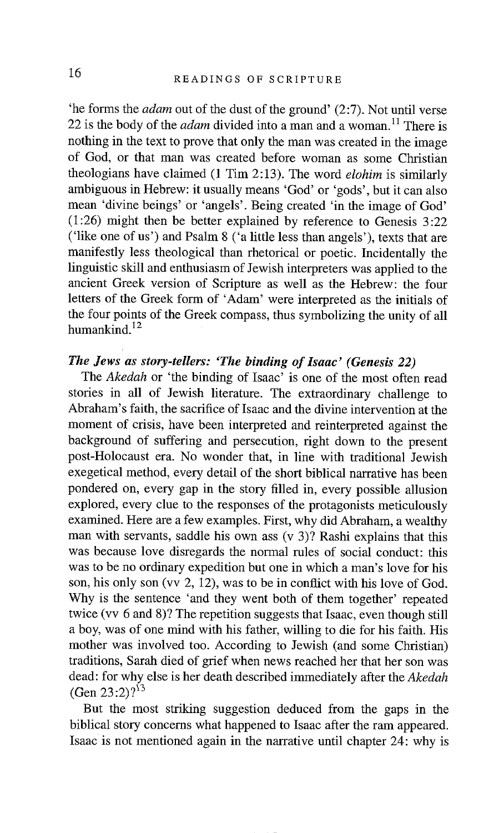'he forms the *adam* out of the dust of the ground' (2:7). Not until verse 22 is the body of the *adam* divided into a man and a woman.<sup>11</sup> There is nothing in the text to prove that only the man was created in the image of God, or that man was created before woman as some Christian theologians have claimed (1 Tim 2:13). The word *elohim* is similarly ambiguous in Hebrew: it usually means 'God' or 'gods', but it can also mean 'divine beings' or 'angels'. Being created 'in the image of God' (1:26) might then be better explained by reference to Genesis 3:22 ('like one of us') and Psalm 8 ('a little less than angels'), texts that are manifestly less theological than rhetorical or poetic. Incidentally the linguistic skill and enthusiasm of Jewish interpreters was applied to the ancient Greek version of Scripture as well as the Hebrew: the four letters of the Greek form of 'Adam' were interpreted as the initials of the four points of the Greek compass, thus symbolizing the unity of all humankind. 12

#### *The Jews as story-tellers: "The binding of Isaac" (Genesis 22)*

The *Akedah* or 'the binding of Isaac' is one of the most often read stories in all of Jewish literature. The extraordinary challenge to Abraham's faith, the sacrifice of Isaac and the divine intervention at the moment of crisis, have been interpreted and reinterpreted against the background of suffering and persecution, right down to the present post-Holocaust era. No wonder that, in line with traditional Jewish exegetical method, every detail of the short biblical narrative has been pondered on, every gap in the story filled in, every possible allusion explored, every clue to the responses of the protagonists meticulously examined. Here are a few examples. First, why did Abraham, a wealthy man with servants, saddle his own ass (v 3)? Rashi explains that this was because love disregards the normal rules of social conduct: this was to be no ordinary expedition but one in which a man's love for his son, his only son (vv 2, 12), was to be in conflict with his love of God. Why is the sentence 'and they went both of them together' repeated twice (vv 6 and 8)? The repetition suggests that Isaac, even though still a boy, was of one mind with his father, willing to die for his faith. His mother was involved too. According to Jewish (and some Christian) traditions, Sarah died of grief when news reached her that her son was dead: for why else is her death described immediately after the *Akedah*  (Gen 23:2)? $^{13}$ 

But the most striking suggestion deduced from the gaps in the biblical story concerns what happened to Isaac after the ram appeared. Isaac is not mentioned again in the narrative until chapter 24: why is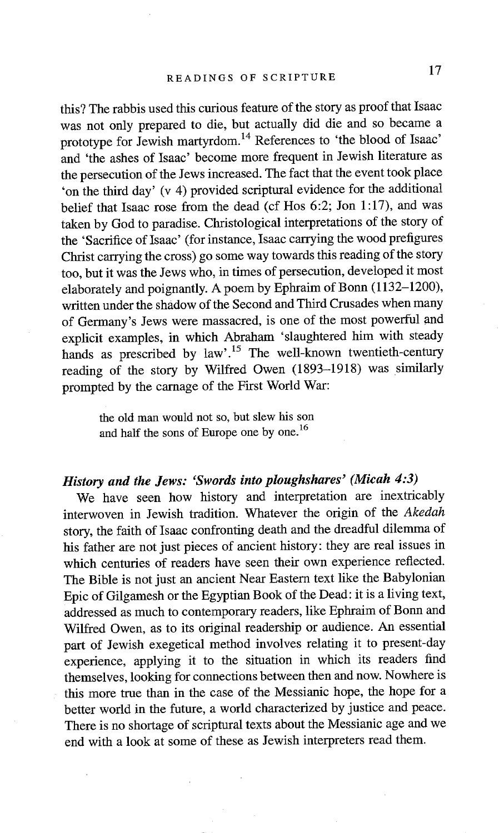this? The rabbis used this curious feature of the story as proof that Isaac was not only prepared to die, but actually did die and so became a prototype for Jewish martyrdom. 14 References to 'the blood of Isaac' and 'the ashes of Isaac' become more frequent in Jewish literature as the persecution of the Jews increased. The fact that the event took place 'on the third day' (v 4) provided scriptural evidence for the additional belief that Isaac rose from the dead (cf Hos 6:2; Jon 1:17), and was taken by God to paradise. Christological interpretations of the story of the 'Sacrifice of Isaac' (for instance, Isaac carrying the wood prefigures Christ carrying the cross) go some way towards this reading of the story too, but it was the Jews who, in times of persecution, developed it most elaborately and poignantly. A poem by Ephraim of Bonn (1132-1200), written under the shadow of the Second and Third Crusades when many of Germany's Jews were massacred, is one of the most powerful and explicit examples, in which Abraham 'slaughtered him with steady hands as prescribed by  $law$ <sup>15</sup>. The well-known twentieth-century reading of the story by Wilfred Owen (1893-1918) was similarly prompted by the carnage of the First World War:

> the old man would not so, but slew his son and half the sons of Europe one by one. 16

## *History and the Jews: 'Swords into ploughshares' (Micah 4:3)*

We have seen how history and interpretation are inextricably interwoven in Jewish tradition. Whatever the origin of the *Akedah*  story, the faith of Isaac confronting death and the dreadful dilemma of his father are not just pieces of ancient history: they are real issues in which centuries of readers have seen their own experience reflected. The Bible is not just an ancient Near Eastern text like the Babylonian Epic of Gilgamesh or the Egyptian Book of the Dead: it is a living text, addressed as much to contemporary readers, like Ephraim of Bonn and Wilfred Owen, as to its original readership or audience. An essential part of Jewish exegetical method involves relating it to present-day experience, applying it to the situation in which its readers find themselves, looking for connections between then and now. Nowhere is this more true than in the case of the Messianic hope, the hope for a better world in the future, a world characterized by justice and peace. There is no shortage of scriptural texts about the Messianic age and we end with a look at some of these as Jewish interpreters read them.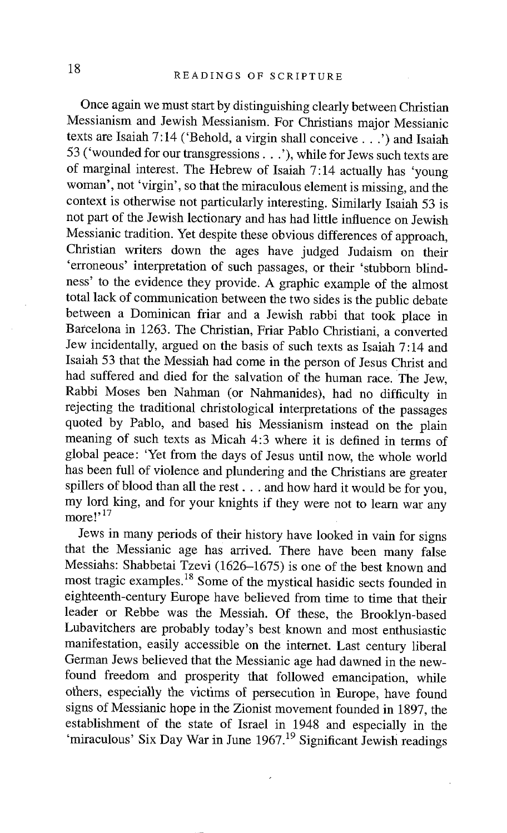Once again we must start by distinguishing clearly between Christian Messianism and Jewish Messianism. For Christians major Messianic texts are Isaiah 7:14 ('Behold, a virgin shall conceive...') and Isaiah 53 ('wounded for our transgressions...'), while for Jews such texts are of marginal interest. The Hebrew of Isaiah 7:14 actually has 'young woman', not 'virgin', so that the miraculous element is missing, and the context is otherwise not particularly interesting. Similarly Isaiah 53 is not part of the Jewish lectionary and has had little influence on Jewish Messianic tradition. Yet despite these obvious differences of approach, Christian writers down the ages have judged Judaism on their 'erroneous' interpretation of such passages, or their 'stubborn blindness' to the evidence they provide. A graphic example of the almost total lack of communication between the two sides is the public debate between a Dominican friar and a Jewish rabbi that took place in Barcelona in 1263. The Christian, Friar Pablo Christiani, a converted Jew incidentally, argued on the basis of such texts as Isaiah 7:14 and Isaiah 53 that the Messiah had come in the person of Jesus Christ and had suffered and died for the salvation of the human race. The Jew, Rabbi Moses ben Nahman (or Nahmanides), had no difficulty in rejecting the traditional christological interpretations of the passages quoted by Pablo, and based his Messianism instead on the plain meaning of such texts as Micah 4:3 where it is defined in terms of global peace: 'Yet from the days of Jesus until now, the whole world has been full of violence and plundering and the Christians are greater spillers of blood than all the rest.., and how hard it would be for you, my lord king, and for your knights if they were not to learn war any  $more!$ <sup>17</sup>

Jews in many periods of their history have looked in vain for signs that the Messianic age has arrived. There have been many false Messiahs: Shabbetai Tzevi (1626-1675) is one of the best known and most tragic examples.<sup>18</sup> Some of the mystical hasidic sects founded in eighteenth-century Europe have believed from time to time that their leader or Rebbe was the Messiah. Of these, the Brooklyn-based Lubavitchers are probably today's best known and most enthusiastic manifestation, easily accessible on the internet. Last century liberal German Jews believed that the Messianic age had dawned in the newfound freedom and prosperity that followed emancipation, while others, especially the victims of persecution in Europe, have found signs of Messianic hope in the Zionist movement founded in 1897, the establishment of the state of Israel in 1948 and especially in the 'miraculous' Six Day War in June 1967.<sup>19</sup> Significant Jewish readings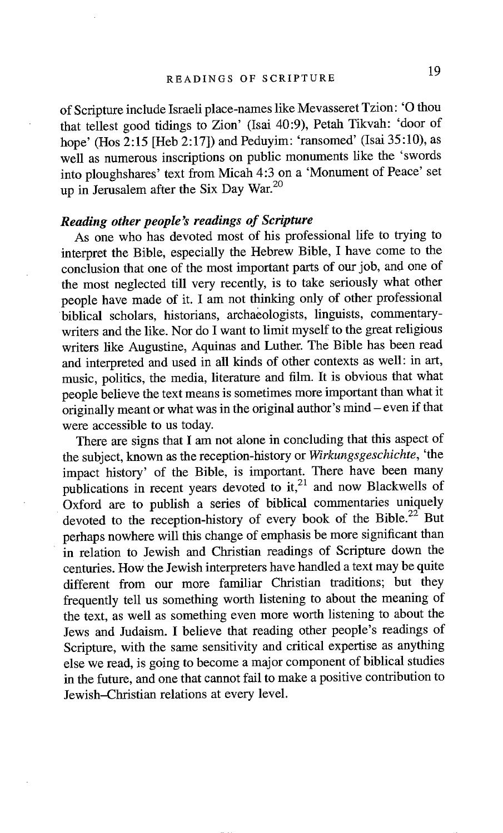of Scripture include Israeli place-names like Mevasseret Tzion: 'O thou that tellest good tidings to Zion' (Isai 40:9), Petah Tikvah: 'door of hope' (Hos 2:15 [Heb 2:17]) and Peduvim: 'ransomed' (Isai 35:10), as well as numerous inscriptions on public monuments like the 'swords into ploughshares' text from Micah 4:3 on a 'Monument of Peace' set up in Jerusalem after the Six Day War.<sup>20</sup>

#### *Reading other people's readings of Scripture*

As one who has devoted most of his professional life to trying to interpret the Bible, especially the Hebrew Bible, I have come to the conclusion that one of the most important parts of our job, and one of the most neglected till very recently, is to take seriously what other people have made of it. I am not thinking only of other professional biblical scholars, historians, archaeologists, linguists, commentarywriters and the like. Nor do I want to limit myself to the great religious writers like Augustine, Aquinas and Luther. The Bible has been read and interpreted and used in all kinds of other contexts as well: in art, music, politics, the media, literature and film. It is obvious that what people believe the text means is sometimes more important than what it originally meant or what was in the original author's mind  $-$  even if that were accessible to us today.

There are signs that I am not alone in concluding that this aspect of the subject, known as the reception-history or *Wirkungsgeschichte,* 'the impact history' of the Bible, is important. There have been many publications in recent years devoted to it, $^{21}$  and now Blackwells of Oxford are to publish a series of biblical commentaries uniquely devoted to the reception-history of every book of the Bible.<sup>22</sup> But perhaps nowhere will this change of emphasis be more significant than in relation to Jewish and Christian readings of Scripture down the centuries. How the Jewish interpreters have handled a text may be quite different from our more familiar Christian traditions; but they frequently tell us something worth listening to about the meaning of the text, as well as something even more worth listening to about the Jews and Judaism. I believe that reading other people's readings of Scripture, with the same sensitivity and critical expertise as anything else we read, is going to become a major component of biblical studies in the future, and one that cannot fail to make a positive contribution to Jewish-Christian relations at every level.